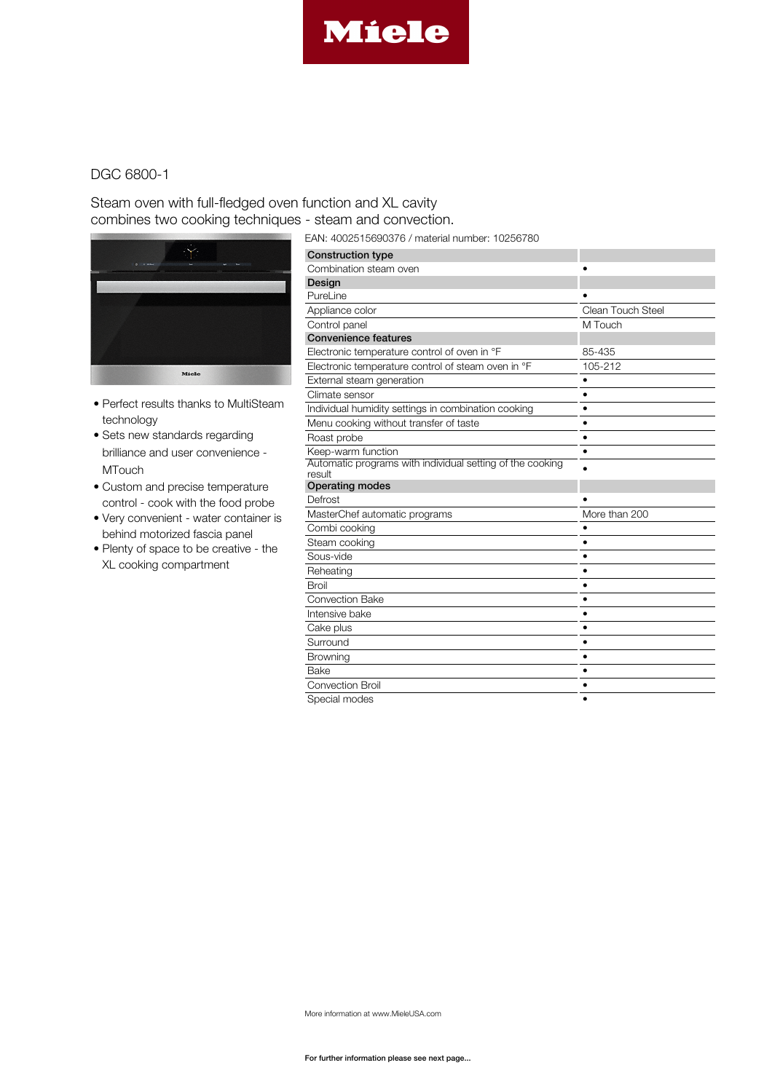

## Steam oven with full-fledged oven function and XL cavity combines two cooking techniques - steam and convection.



- Perfect results thanks to MultiSteam technology
- Sets new standards regarding brilliance and user convenience - **MTouch**
- Custom and precise temperature control - cook with the food probe
- Very convenient water container is behind motorized fascia panel
- Plenty of space to be creative the XL cooking compartment

EAN: 4002515690376 / material number: 10256780

| <b>Construction type</b>                                  |                   |
|-----------------------------------------------------------|-------------------|
| Combination steam oven                                    |                   |
| Design                                                    |                   |
| PureLine                                                  |                   |
| Appliance color                                           | Clean Touch Steel |
| Control panel                                             | M Touch           |
| <b>Convenience features</b>                               |                   |
| Electronic temperature control of oven in °F              | 85-435            |
| Electronic temperature control of steam oven in °F        | 105-212           |
| External steam generation                                 |                   |
| Climate sensor                                            | ٠                 |
| Individual humidity settings in combination cooking       | ٠                 |
| Menu cooking without transfer of taste                    | ٠                 |
| Roast probe                                               |                   |
| Keep-warm function                                        | $\bullet$         |
| Automatic programs with individual setting of the cooking |                   |
| result<br><b>Operating modes</b>                          |                   |
| Defrost                                                   |                   |
| MasterChef automatic programs                             | More than 200     |
| Combi cooking                                             |                   |
|                                                           | ٠                 |
| Steam cooking<br>Sous-vide                                | $\bullet$         |
|                                                           |                   |
| Reheating                                                 | $\bullet$         |
| Broil                                                     |                   |
| <b>Convection Bake</b>                                    |                   |
| Intensive bake                                            | $\bullet$         |
| Cake plus                                                 | ٠                 |
| Surround                                                  | ٠                 |
| Browning                                                  | $\bullet$         |
| Bake                                                      |                   |
| <b>Convection Broil</b>                                   | ٠                 |
| Special modes                                             |                   |

More information at www.MieleUSA.com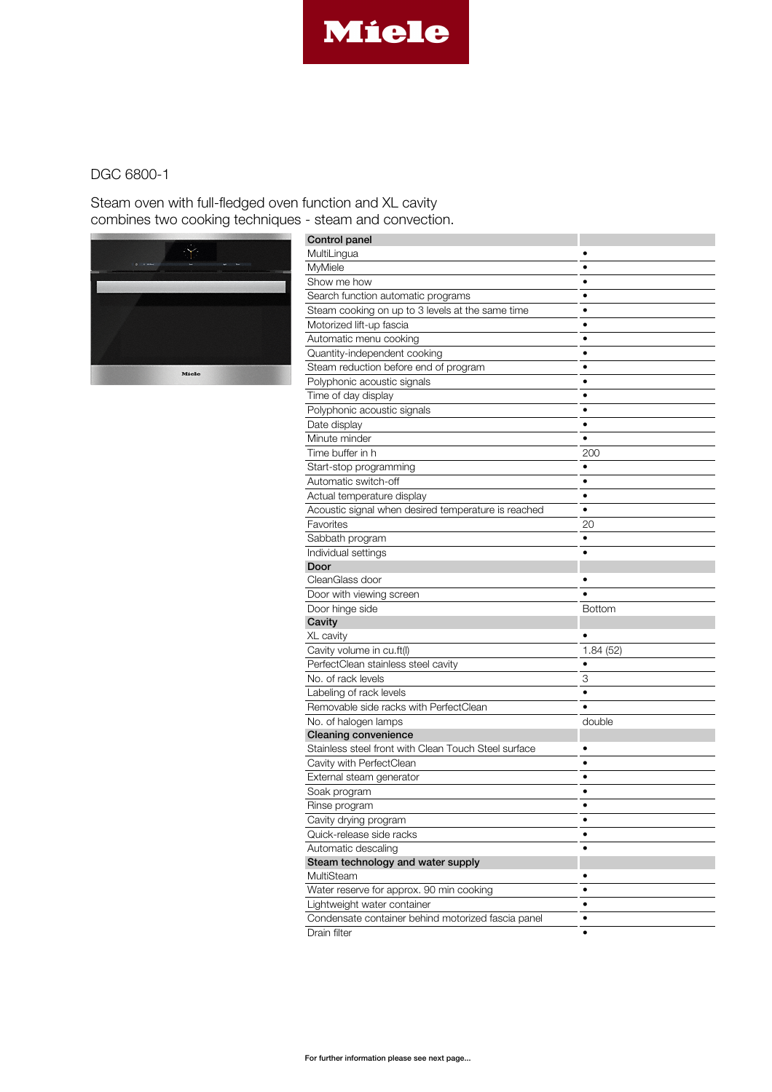

Steam oven with full-fledged oven function and XL cavity combines two cooking techniques - steam and convection.



| Control panel                                        |               |
|------------------------------------------------------|---------------|
| MultiLingua                                          |               |
| MyMiele                                              |               |
| Show me how                                          |               |
| Search function automatic programs                   | $\bullet$     |
| Steam cooking on up to 3 levels at the same time     | $\bullet$     |
| Motorized lift-up fascia                             | ٠             |
| Automatic menu cooking                               | $\bullet$     |
| Quantity-independent cooking                         | ٠             |
| Steam reduction before end of program                |               |
| Polyphonic acoustic signals                          | $\bullet$     |
| Time of day display                                  | $\bullet$     |
| Polyphonic acoustic signals                          |               |
| Date display                                         | ٠             |
| Minute minder                                        | $\bullet$     |
| Time buffer in h                                     | 200           |
| Start-stop programming                               | $\bullet$     |
| Automatic switch-off                                 | ٠             |
| Actual temperature display                           | ٠             |
| Acoustic signal when desired temperature is reached  | $\bullet$     |
| Favorites                                            | 20            |
| Sabbath program                                      |               |
| Individual settings                                  |               |
| Door                                                 |               |
| CleanGlass door                                      |               |
| Door with viewing screen                             |               |
| Door hinge side                                      | <b>Bottom</b> |
| Cavity                                               |               |
| XL cavity                                            |               |
| Cavity volume in cu.ft(I)                            | 1.84 (52)     |
| PerfectClean stainless steel cavity                  |               |
| No. of rack levels                                   | 3             |
| Labeling of rack levels                              | ٠             |
| Removable side racks with PerfectClean               |               |
| No. of halogen lamps                                 | double        |
| <b>Cleaning convenience</b>                          |               |
| Stainless steel front with Clean Touch Steel surface | ٠             |
| Cavity with PerfectClean                             |               |
| External steam generator                             |               |
| Soak program                                         |               |
| Rinse program                                        | $\bullet$     |
| Cavity drying program                                |               |
| Quick-release side racks                             | ٠             |
| Automatic descaling                                  | $\bullet$     |
| Steam technology and water supply                    |               |
| MultiSteam                                           | $\bullet$     |
| Water reserve for approx. 90 min cooking             | ٠             |
| Lightweight water container                          | ٠             |
| Condensate container behind motorized fascia panel   | ٠             |
| Drain filter                                         |               |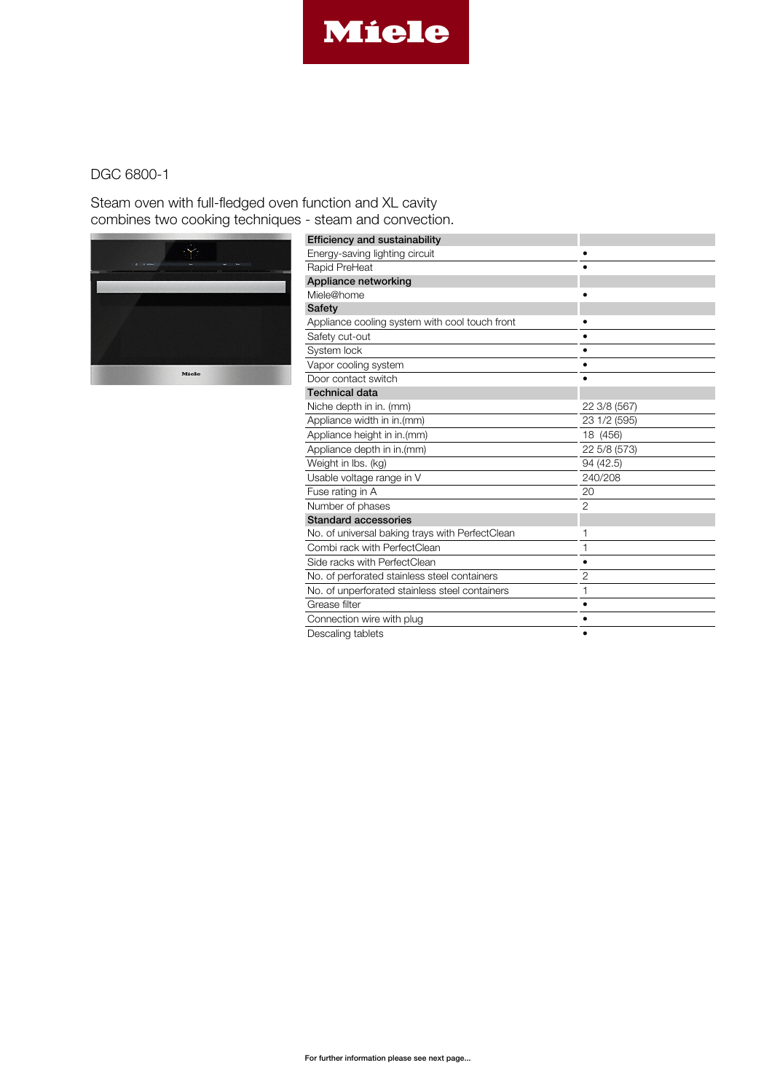

Steam oven with full-fledged oven function and XL cavity combines two cooking techniques - steam and convection.



| <b>Efficiency and sustainability</b>            |                |
|-------------------------------------------------|----------------|
| Energy-saving lighting circuit                  |                |
| Rapid PreHeat                                   |                |
| Appliance networking                            |                |
| Miele@home                                      |                |
| Safety                                          |                |
| Appliance cooling system with cool touch front  |                |
| Safety cut-out                                  |                |
| System lock                                     |                |
| Vapor cooling system                            |                |
| Door contact switch                             |                |
| <b>Technical data</b>                           |                |
| Niche depth in in. (mm)                         | 22 3/8 (567)   |
| Appliance width in in.(mm)                      | 23 1/2 (595)   |
| Appliance height in in.(mm)                     | 18 (456)       |
| Appliance depth in in.(mm)                      | 22 5/8 (573)   |
| Weight in Ibs. (kg)                             | 94 (42.5)      |
| Usable voltage range in V                       | 240/208        |
| Fuse rating in A                                | 20             |
| Number of phases                                | $\overline{2}$ |
| <b>Standard accessories</b>                     |                |
| No. of universal baking trays with PerfectClean |                |
| Combi rack with PerfectClean                    | 1              |
| Side racks with PerfectClean                    | ٠              |
| No. of perforated stainless steel containers    | $\overline{2}$ |
| No. of unperforated stainless steel containers  | 1              |
| Grease filter                                   |                |
| Connection wire with plug                       |                |
| Descaling tablets                               |                |